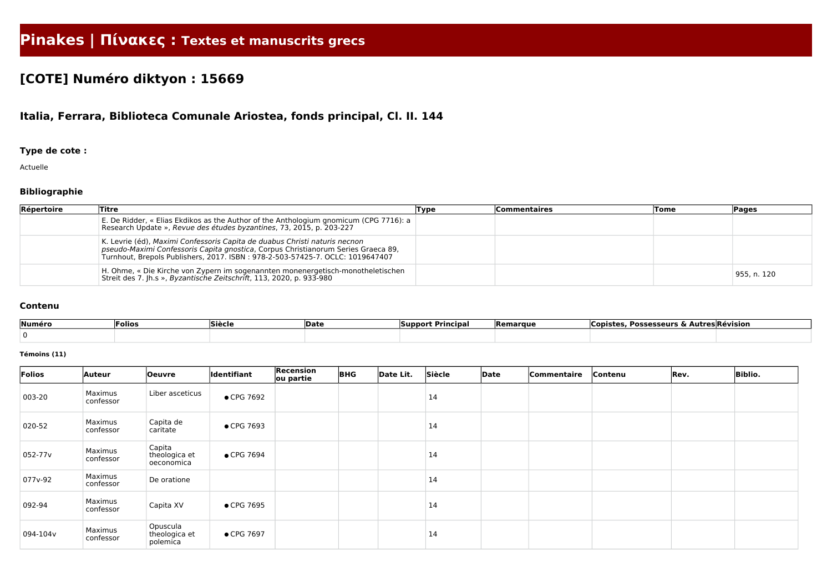# **Pinakes | Πίνακες : Textes et manuscrits grecs**

# **[COTE] Numéro diktyon : 15669**

## **Italia, Ferrara, Biblioteca Comunale Ariostea, fonds principal, Cl. II. 144**

### **Type de cote :**

Actuelle

### **Bibliographie**

| Répertoire | Titre                                                                                                                                                                                                                                            | Type | <b>Commentaires</b> | Tome | <b>Pages</b> |
|------------|--------------------------------------------------------------------------------------------------------------------------------------------------------------------------------------------------------------------------------------------------|------|---------------------|------|--------------|
|            | E. De Ridder, « Elias Ekdikos as the Author of the Anthologium gnomicum (CPG 7716): a<br>Research Update », Revue des études byzantines, 73, 2015, p. 203-227                                                                                    |      |                     |      |              |
|            | K. Levrie (éd), Maximi Confessoris Capita de duabus Christi naturis necnon<br>pseudo-Maximi Confessoris Capita gnostica, Corpus Christianorum Series Graeca 89,<br>Turnhout, Brepols Publishers, 2017. ISBN: 978-2-503-57425-7. OCLC: 1019647407 |      |                     |      |              |
|            | H. Ohme, « Die Kirche von Zypern im sogenannten monenergetisch-monotheletischen<br>Streit des 7. Jh.s », Byzantische Zeitschrift, 113, 2020, p. 933-980                                                                                          |      |                     |      | 955, n. 120  |

#### **Contenu**

| Numéro | Folios | Siècle | <b>Date</b> | <b>Principal</b><br>support by support of the set of the set of the set of the set of the set of the set of the set of the set of the set of the set of the set of the set of the set of the set of the set of the set of the set of the set of th | <b>Remarque</b> | <b>Possesseurs</b><br>∴∟opist∽<br><u>ົ</u> | Autres Révision |
|--------|--------|--------|-------------|----------------------------------------------------------------------------------------------------------------------------------------------------------------------------------------------------------------------------------------------------|-----------------|--------------------------------------------|-----------------|
|        |        |        |             |                                                                                                                                                                                                                                                    |                 |                                            |                 |

#### **Témoins (11)**

| Folios              | Auteur               | <b>Oeuvre</b>                         | <b>Identifiant</b> | Recension<br>ou partie | <b>BHG</b> | Date Lit. | Siècle | Date | Commentaire | Contenu | Rev. | <b>Biblio.</b> |
|---------------------|----------------------|---------------------------------------|--------------------|------------------------|------------|-----------|--------|------|-------------|---------|------|----------------|
| 003-20              | Maximus<br>confessor | Liber asceticus                       | ● CPG 7692         |                        |            |           | 14     |      |             |         |      |                |
| 020-52              | Maximus<br>confessor | Capita de<br>caritate                 | • CPG 7693         |                        |            |           | 14     |      |             |         |      |                |
| 052-77 <sub>v</sub> | Maximus<br>confessor | Capita<br>theologica et<br>oeconomica | • CPG 7694         |                        |            |           | 14     |      |             |         |      |                |
| 077v-92             | Maximus<br>confessor | De oratione                           |                    |                        |            |           | 14     |      |             |         |      |                |
| 092-94              | Maximus<br>confessor | Capita XV                             | • CPG 7695         |                        |            |           | 14     |      |             |         |      |                |
| 094-104v            | Maximus<br>confessor | Opuscula<br>theologica et<br>polemica | • CPG 7697         |                        |            |           | 14     |      |             |         |      |                |